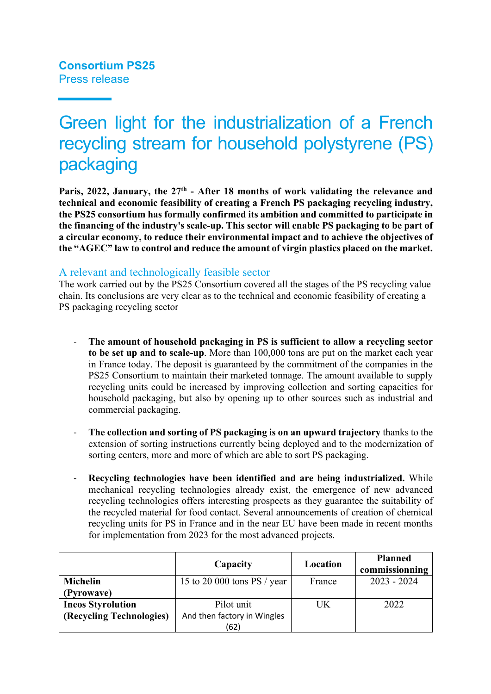# Green light for the industrialization of a French recycling stream for household polystyrene (PS) packaging

Paris, 2022, January, the 27<sup>th</sup> - After 18 months of work validating the relevance and **technical and economic feasibility of creating a French PS packaging recycling industry, the PS25 consortium has formally confirmed its ambition and committed to participate in the financing of the industry's scale-up. This sector will enable PS packaging to be part of a circular economy, to reduce their environmental impact and to achieve the objectives of the "AGEC" law to control and reduce the amount of virgin plastics placed on the market.**

## A relevant and technologically feasible sector

The work carried out by the PS25 Consortium covered all the stages of the PS recycling value chain. Its conclusions are very clear as to the technical and economic feasibility of creating a PS packaging recycling sector

- **The amount of household packaging in PS is sufficient to allow a recycling sector to be set up and to scale-up**. More than 100,000 tons are put on the market each year in France today. The deposit is guaranteed by the commitment of the companies in the PS25 Consortium to maintain their marketed tonnage. The amount available to supply recycling units could be increased by improving collection and sorting capacities for household packaging, but also by opening up to other sources such as industrial and commercial packaging.
- **The collection and sorting of PS packaging is on an upward trajectory** thanks to the extension of sorting instructions currently being deployed and to the modernization of sorting centers, more and more of which are able to sort PS packaging.
- **Recycling technologies have been identified and are being industrialized.** While mechanical recycling technologies already exist, the emergence of new advanced recycling technologies offers interesting prospects as they guarantee the suitability of the recycled material for food contact. Several announcements of creation of chemical recycling units for PS in France and in the near EU have been made in recent months for implementation from 2023 for the most advanced projects.

|                          | Capacity                      | Location | <b>Planned</b><br>commissionning |
|--------------------------|-------------------------------|----------|----------------------------------|
| <b>Michelin</b>          | 15 to 20 000 tons $PS / year$ | France   | $2023 - 2024$                    |
| (Pyrowave)               |                               |          |                                  |
| <b>Ineos Styrolution</b> | Pilot unit                    | UK       | 2022                             |
| (Recycling Technologies) | And then factory in Wingles   |          |                                  |
|                          | (62)                          |          |                                  |